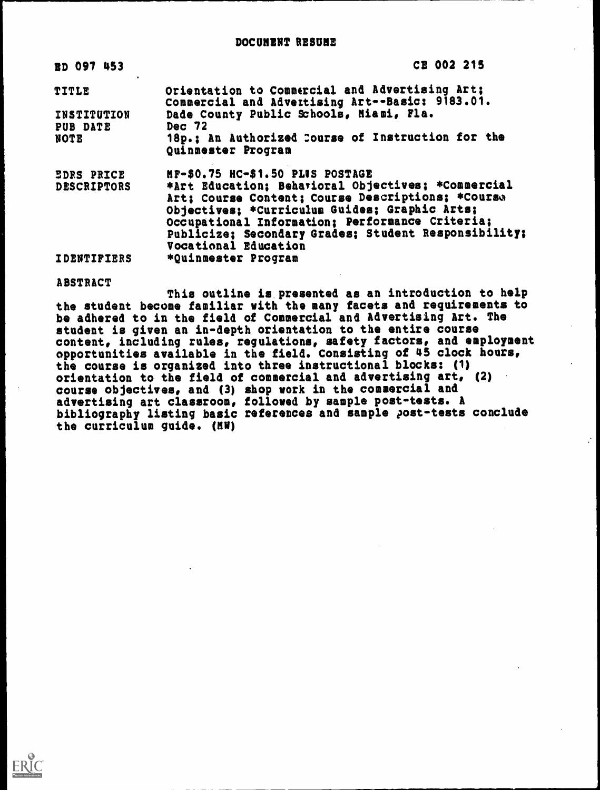| <b>RD 097 453</b>                       | CE 002 215                                                                                                                                                                                                                                      |
|-----------------------------------------|-------------------------------------------------------------------------------------------------------------------------------------------------------------------------------------------------------------------------------------------------|
| <b>TITLE</b>                            | Orientation to Commercial and Advertising Art;<br>Commercial and Advertising Art--Basic: 9183.01.                                                                                                                                               |
| INSTITUTION                             | Dade County Public Schools, Miami, Fla.                                                                                                                                                                                                         |
| <b>PUB DATE</b><br><b>NOTE</b>          | Dec 72<br>18p.; An Authorized Course of Instruction for the<br>Quinmester Program                                                                                                                                                               |
| <b>EDRS PRICE</b><br><b>DESCRIPTORS</b> | MF-\$0.75 HC-\$1.50 PLUS POSTAGE<br>*Art Education; Beharioral Objectives; *Commercial<br>Art; Course Content; Course Descriptions; *Course<br>Objectives; *Curriculum Guides; Graphic Arts;<br>Occupational Information; Performance Criteria; |
| <b>IDENTIFIERS</b>                      | Publicize; Secondary Grades; Student Responsibility;<br>Vocational Education<br>*Quinmester Program                                                                                                                                             |

#### ABSTRACT

This outline is presented as an introduction to help the student become familiar with the many facets and requirements to be adhered to in the field of Commercial and Advertising Art. The student is given an in-depth orientation to the entire course content, including rules, regulations, safety factors, and employment opportunities available in the field. Consisting of 45 clock hours, the course is organized into three instructional blocks: (1) orientation to the field of commercial and advertising art, (2) course objectives, and (3) shop work in the commercial and advertising art classroom, followed by sample post-tests. A bibliography listing basic references and sample post-tests conclude the curriculum guide. (MW)

 $\mathcal{C}^{\mathcal{C}}$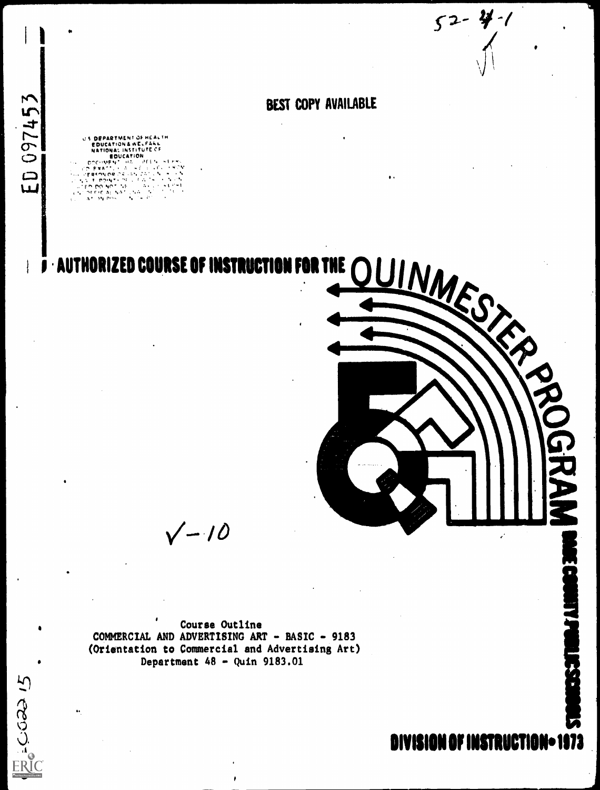$52 - 41 - 1$ 

# **BEST COPY AVAILABLE**

U.S. DEPARTMENT OF HEALTH **EDUCATION & WELFAKE**<br>NATIONAL INSTITUTE CF<br>SOUCATION<br>COLIMENT LINE LOTER המשישים<br>ה- ה- ה- ה- ה- ה<br>יה ה- ה- ה- ה- ה- ה-<br>יה ה- ה- ה- ה- ה- ה- $\sim$  5 SO EXACTL (1920) HE<br>SS TO POMPY OF SANCT<br>SS TO POMPY OF ST<br>TED POMPY NE<br>TOFFICAL NATUNA<br>COTERNO CRUSH  $\ddot{\phantom{a}}$ Ñ  $\sim$ A  $\Lambda$  .

ED 097453

ENGOCO 15

## **THE AUTHORIZED COURSE OF INSTRUCTION**



 $\sqrt{-10}$ 

Course Outline COMMERCIAL AND ADVERTISING ART - BASIC - 9183 (Orientation to Commercial and Advertising Art) Department  $48 -$  Quin 9183.01

DIVISION OF INSTRUCTION-1973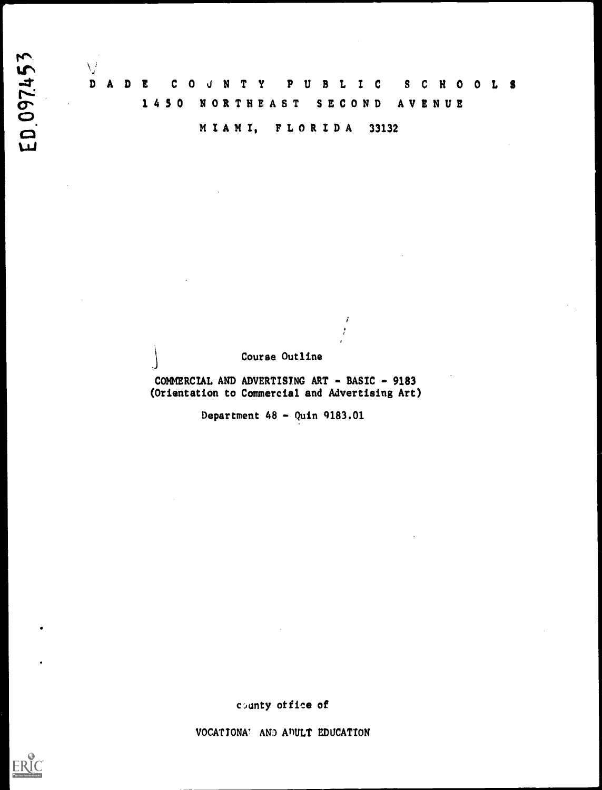ED.097453

 $\bigvee$ D A U B L I C  $\mathbf c$ T Y P S C H O O L S D E  $\mathbf 0$ J. N  $1450$ **NORTHEAST SECOND** AVENUE

MIAMI, FLORIDA 33132

## Course Outline

 $\boldsymbol{i}$  $\cdot$ 

COMMERCIAL AND ADVERTISING ART - BASIC - 9183 (Orientation to Commercial and Advertising Art)

Department  $48 -$  Quin 9183.01

county office of

VOCATIONA! AND ADULT EDUCATION

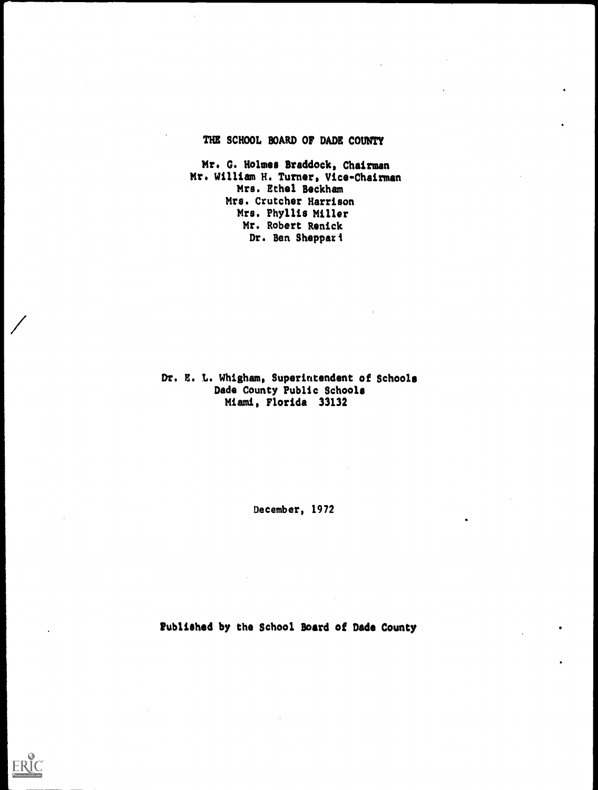## THE SCHOOL BOARD OF DADE COUNTY

Mr. G. Holmes Braddock, Chairman Mr. William H. Turner, Vice-Chairman Mrs. Ethel Beckham Mrs. Crutcher Harrison Mrs. Phyllis Miller Mr. Robert Renick Dr. Ben Sheppart

Dr. E. L. Whigham, Superintendent of Schools Dade County Public Schools Miami, Florida 33132

December, 1972

Published by the School Board of Dade County

**FRI**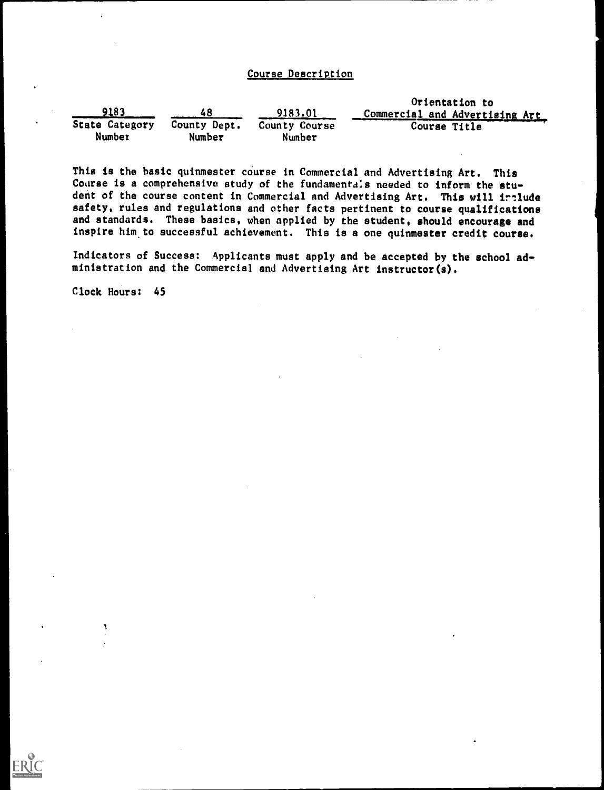## Course Description

|                |              | Orientation to |                                |  |  |  |
|----------------|--------------|----------------|--------------------------------|--|--|--|
| 9183           |              | 9183.01        | Commercial and Advertising Art |  |  |  |
| State Category | County Dept. | County Course  | Course Title                   |  |  |  |
| Number         | Number       | Number         |                                |  |  |  |

This is the basic quinmester course in Commercial and Advertising Art. This Course is a comprehensive study of the fundamentals needed to inform the student of the course content in Commercial and Advertising Art. This will irtlude safety, rules and regulations and other facts pertinent to course qualifications and standards. These basics, when applied by the student, should encourage and inspire him to successful achievement. This is a one quinmester credit course.

Indicators of Success: Applicants must apply and be accepted by the school administration and the Commercial and Advertising Art instructor(s).

Clock Hours: 45

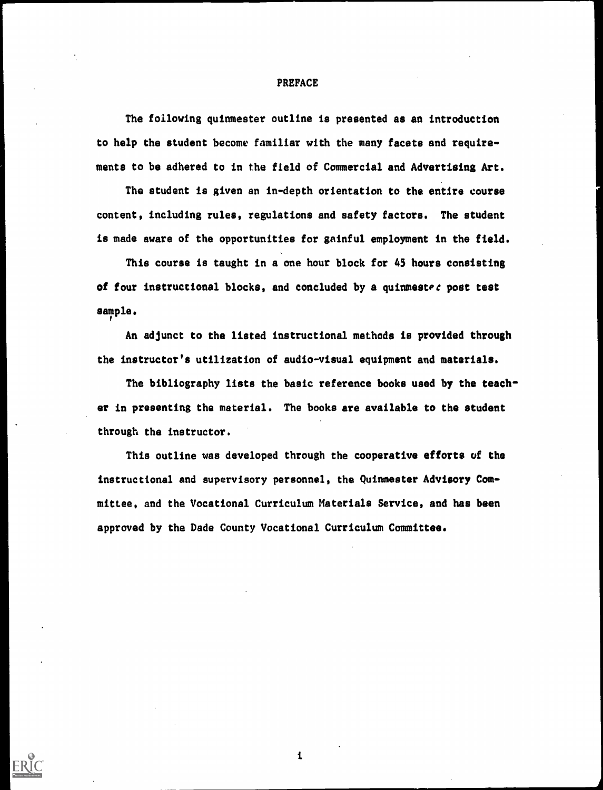#### PREFACE

The following quinmester outline is presented as an introduction to help the student become familiar with the many facets and requirements to be adhered to in the field of Commercial and Advertising Art.

The student is given an in-depth orientation to the entire course content, including rules, regulations and safety factors. The student is made aware of the opportunities for gainful employment in the field.

This course is taught in a one hour block for 45 hours consisting of four instructional blocks, and concluded by a quinmester post test sample.

An adjunct to the listed instructional methods is provided through the instructor's utilization of audio-visual equipment and materials.

The bibliography lists the basic reference books used by the teacher in presenting the material. The books are available to the student through the instructor.

This outline was developed through the cooperative efforts of the instructional and supervisory personnel, the Quinmester Advisory Committee, and the Vocational Curriculum Materials Service, and has been approved by the Dade County Vocational Curriculum Committee.

 $\mathbf{1}$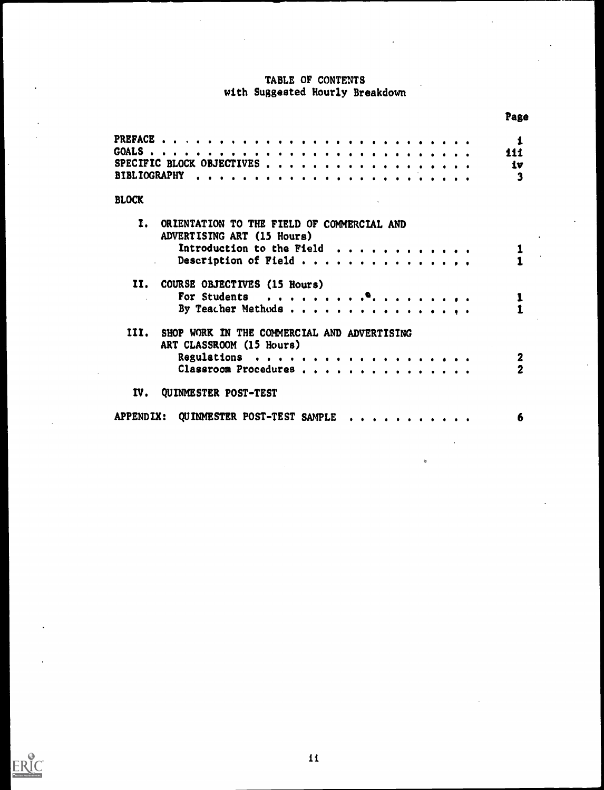## TABLE OF CONTENTS with Suggested Hourly Breakdown

|                                                     |                           | Page             |
|-----------------------------------------------------|---------------------------|------------------|
|                                                     |                           | $\mathbf{1}$     |
|                                                     |                           | 111              |
| SPECIFIC BLOCK OBJECTIVES                           |                           | 1 <sub>v</sub>   |
| BIBLIOGRAPHY                                        |                           |                  |
|                                                     |                           | 3                |
| <b>BLOCK</b>                                        |                           |                  |
| Ī.<br>ORIENTATION TO THE FIELD OF COMMERCIAL AND    |                           |                  |
| ADVERTISING ART (15 Hours)                          |                           |                  |
|                                                     | Introduction to the Field |                  |
|                                                     | Description of Field      |                  |
|                                                     |                           |                  |
| II.<br>COURSE OBJECTIVES (15 Hours)                 |                           |                  |
|                                                     |                           |                  |
|                                                     |                           | 1                |
|                                                     | By Teacher Methods        |                  |
| SHOP WORK IN THE COMMERCIAL AND ADVERTISING<br>III. |                           |                  |
| ART CLASSROOM (15 Hours)                            |                           |                  |
|                                                     |                           |                  |
|                                                     |                           | $\boldsymbol{2}$ |
|                                                     | Classroom Procedures      | $\overline{2}$   |
| IV.<br>QUINMESTER POST-TEST                         |                           |                  |
|                                                     |                           |                  |
| <b>APPENDIX:</b><br>QUINMESTER POST-TEST SAMPLE     |                           | 6                |
|                                                     |                           |                  |



 $\ddot{\phantom{a}}$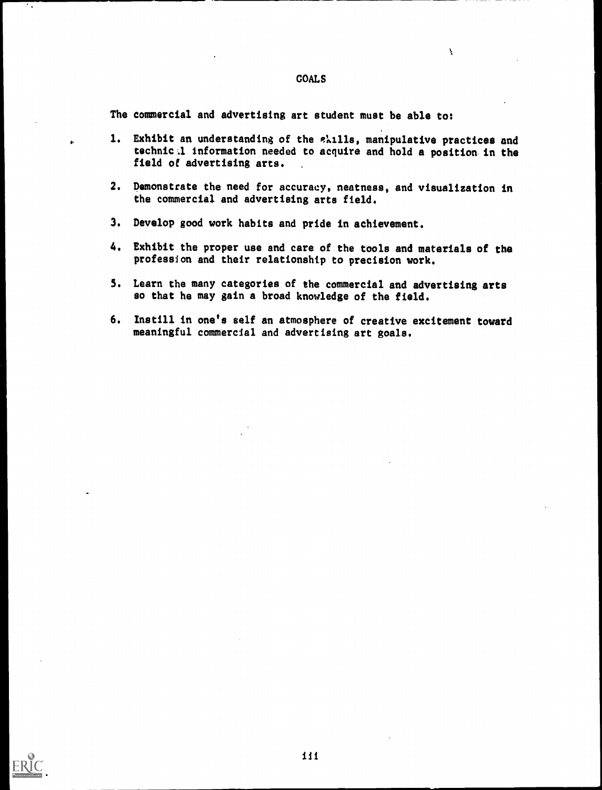#### GOALS

 $\mathbf{V}$ 

The commercial and advertising art student must be able to:

- 1. Exhibit an understanding of the *e*kills, manipulative practices and technic:1 information needed to acquire and hold a position in the field of advertising arts.
- 2. Demonstrate the need for accuracy, neatness, and visualization in the commercial and advertising arts field.
- 3. Develop good work habits and pride in achievement.
- 4. Exhibit the proper use and care of the tools and materials of the profession and their relationship to precision work.
- 5. Learn the many categories of the commercial and advertising arts so that he may gain a broad knowledge of the field.
- 6. Instill in one's self an atmosphere of creative excitement toward meaningful commercial and advertising art goals.

٠.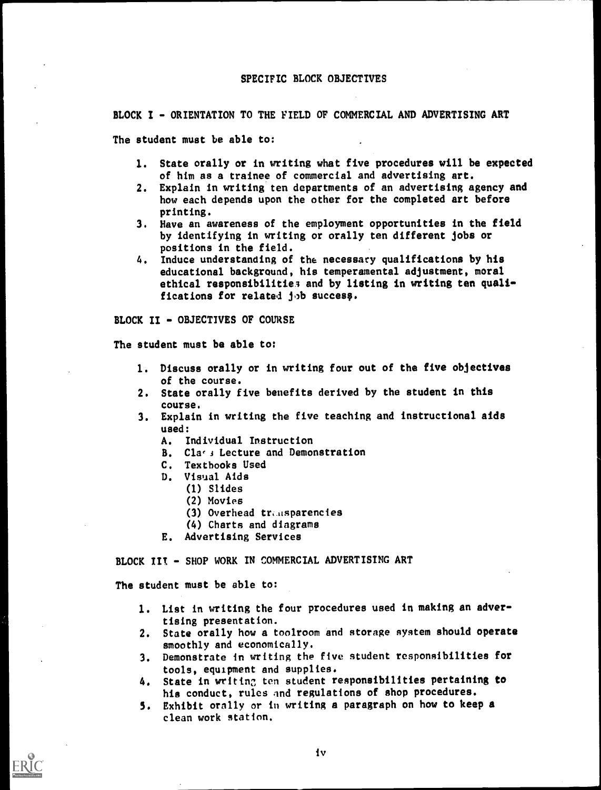#### SPECIFIC BLOCK OBJECTIVES

BLOCK I - ORIENTATION TO THE FIELD OF COMMERCIAL AND ADVERTISING ART

The student must be able to:

- 1. State orally or in writing what five procedures will be expected of him as a trainee of commercial and advertising art.
- 2. Explain in writing ten departments of an advertising agency and how each depends upon the other for the completed art before printing.
- 3. Have an awareness of the employment opportunities in the field by identifying in writing or orally ten different jobs or positions in the field.
- 4. Induce understanding of the necessary qualifications by his educational background, his temperamental adjustment, moral ethical responsibilities and by listing in writing ten qualifications for related job success.

BLOCK II - OBJECTIVES OF COURSE

The student must be able to:

- 1. Discuss orally or in writing four out of the five objectives of the course.
- 2. State orally five benefits derived by the student in this course.
- 3. Explain in writing the five teaching and instructional aids used:
	- A. Individual Instruction
	- B. Class Lecture and Demonstration
	- C. Textbooks Used
	- D. Visual Aids
		- (1) Slides
			- (2) Movies
			- (3) Overhead transparencies
		- (4) Charts and diagrams
	- E. Advertising Services

BLOCK III - SHOP WORK IN COMMERCIAL ADVERTISING ART

The student must be able to:

- 1. List in writing the four procedures used in making an advertising presentation.
- 2. State orally how a toolroom and storage system should operate smoothly and economically.
- 3. Demonstrate in writing the five student responsibilities for tools, equipment and supplies.
- 4. State in writing ten student responsibilities pertaining to his conduct, rules and regulations of shop procedures.
- 5. Exhibit orally or in writing a paragraph on how to keep a clean work station.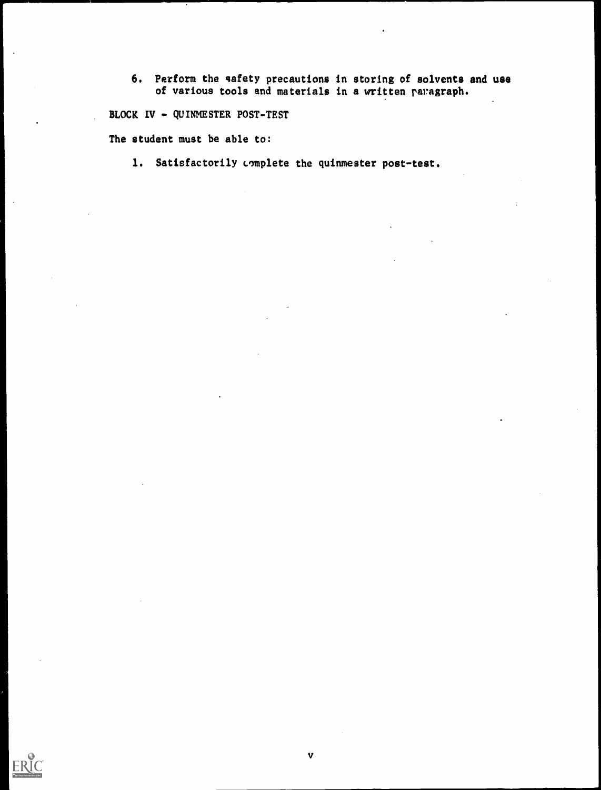6. Perform the safety precautions in storing of solvents and use of various tools and materials in a written paragraph.

BLOCK IV - QUINMESTER POST-TEST

The student must be able to:

1. Satisfactorily complete the quinmester post-test.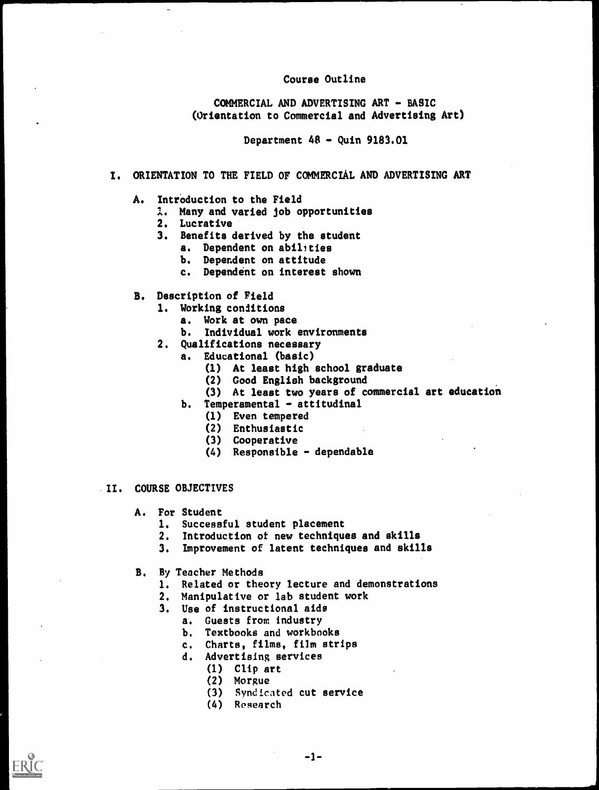## Course Outline

COMMERCIAL AND ADVERTISING ART - BASIC (Orientation to Commercial and Advertising Art)

Department 48 - Quin 9183.01

## I. ORIENTATION TO THE FIELD OF COMMERCIAL AND ADVERTISING ART

## A. Introduction to the Field

- 1. Many and varied job opportunities
- 2. Lucrative
- 3. Benefits derived by the student
	- a. Dependent on abilities
	- b. Dependent on attitude
	- c. Dependent on interest shown
- B. Description of Field
	- 1. Working conditions
		- a. Work at own pace
		- b. Individual work environments
	- 2. Qualifications necessary
		- a. Educational (basic)
			- (1) At least high school graduate
			- (2) Good English background
			- (3) At least two years of commercial art education
			- b. Temperamental attitudinal
				- (1) Even tempered
				- (2) Enthusiastic
				- (3) Cooperative
				- (4) Responsible dependable

#### II. COURSE OBJECTIVES

- A. For Student
	- 1. Successful student placement
	- 2. Introduction of new techniques and skills
	- 3. Improvement of latent techniques and skills
- B. By Teacher Methods
	- 1. Related or theory lecture and demonstrations
	- 2. Manipulative or lab student work
	- 3. Use of instructional aids
		- a. Guests from industry
			- b. Textbooks and workbooks
		- c. Charts, films, film strips
		- d. Advertising services
			- (1) Clip art
				- (2) Morgue
				- (3) Syndicated cut service
				- (4) Research

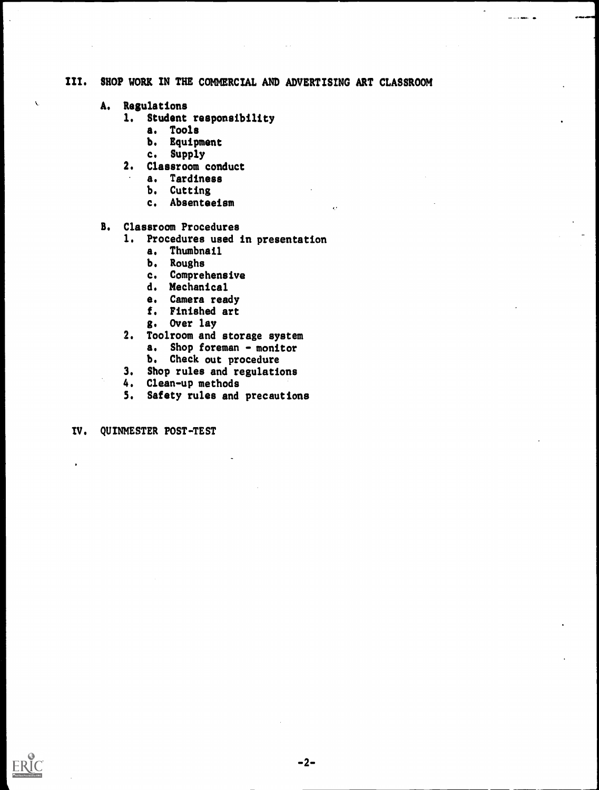# III. SHOP WORK IN THE COMMERCIAL AND ADVERTISING ART CLASSROOM

A. Regulations

 $\bar{\mathbf{C}}$ 

- 1. Student responsibility
	- a. Tools
	- b. Equipment
	- c. Supply
- 2. Classroom conduct
	- a. Tardiness
	- b. Cutting
	- c. Absenteeism

## B. Classroom Procedures

- 1. Procedures used in presentation
	- a. Thumbnail
	- b. Roughs
	- c. Comprehensive
	- d. Mechanical
	- a. Camera ready
	- f. Finished art
	- g. Over lay
- 2. Toolroom and storage system
	- a. Shop foreman monitor
	- b. Check out procedure
- 3. Shop rules and regulations
- 4. Clean-up methods
- 5. Safety rules and precautions

IV. QUINMESTER POST-TEST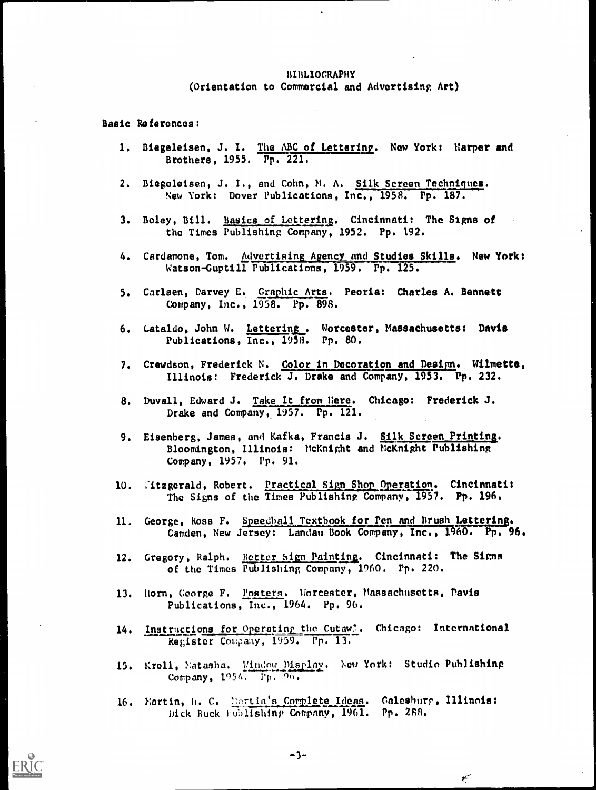#### BIBLIOGRAPHY (Orientation to Commercial and Advertising Art)

Basic References:

- 1. Biegeleisen, J. I. The ABC of Lettering. New York: Harper and Brothers, 1955. Pp. 221.
- 2. Biegeleisen, J. I., and Cohn, M. A. Silk Screen Techniques. New York: Dover Publications, Inc., 1958. Pp. 187.
- 3. Boley, Bill. Basics of Lettering. Cincinnati: The Signs of the Times Publishing Company, 1952. Pp. 192.
- 4. Cardamone, Tom. Advertising Agency and Studies Skills. New York: Watson-Guptill Publications, 1959. Pp. 125.
- 5. Carlsen, Darvey E. Graphic Arts. Peoria: Charles A. Bennett Company, Inc., 1958. Pp. 898.
- 6. Cataldo, John W. Lettering. Worcester, Massachusetts: Davis Publications, Inc., 1958. Pp. 80.
- 7. Crewdson, Frederick N. Color in Decoration and Design. Wilmette, Illinois: Frederick J. Drake and Company, 1953. Pp. 232.
- 8. Duvall, Edward J. Take It from Here. Chicago: Frederick J. Drake and Company, 1957. Pp. 121.
- 9. Eisenberg, James, and Kafka, Francis J. Silk Screen Printing. Bloomington, Illinois: McKnight and McKnight Publishing Company, 1957, Pp. 91.
- 10. Titzgerald, Robert. Practical Sign Shop Operation. Cincinnati: The Signs of the Times Publishing Company, 1957. Pp. 196.
- 11. George, Ross F. Speedball Textbook for Pen and Brush Lettering. Camden, New Jersey: Landau Book Company, Inc., 1960. Pp. 96.
- 12. Gregory, Ralph. Better Sign Painting. Cincinnati: The Signs of the Times Publishing Company, 1960. Pp. 220.
- 13. Horn, George F. Postern. Worcester, Massachusetts, Davis Publications, Inc., 1964. Pp. 96.
- 14. Instructions for Operating the Cutaw'. Chicago: International Register Company, 1959. Pp. 13.
- 15. Kroll, Matasha. Mindow Display. New York: Studio Publishing Company, 1954. Pp, 06.
- 16. Martin, h. C. Martin's Complete Ideas. Galesburg, Illinois: Dick Buck fuhlishing Company, 1961. Pp. 2S8.

 $\mathbf{z}^{(1)}$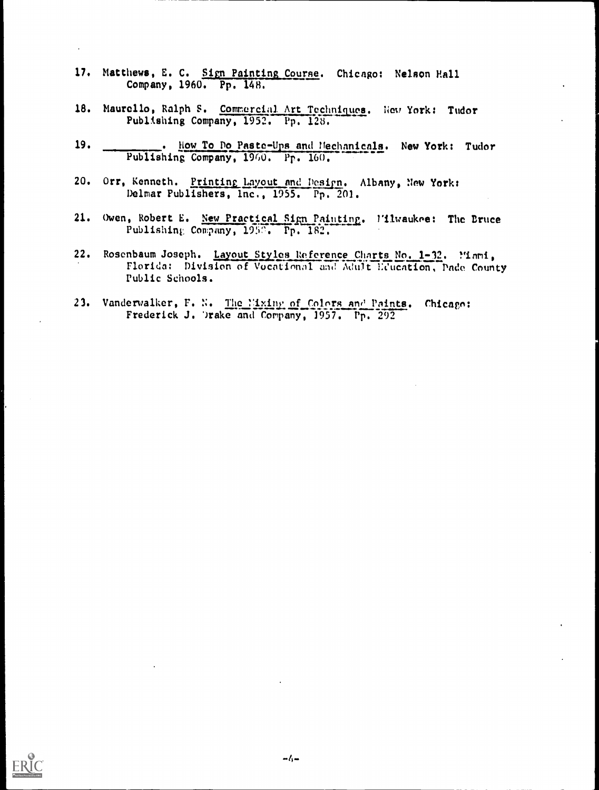- 17. Matthews, E. C. Sign Painting Course. Chicago: Nelson Hall Company, 1960. Pp. 148.
- 18. Maurello, Ralph S. Commercial Art Techniques. New York: Tudor Publishing Company, 1952. Pp. 128.
- 19. . How To Do Paste-Ups and Mechanicals. New York: Tudor Publishing Company, 1960, Pp. 160.
- 20. Orr, Kenneth. Printing Layout and Design. Albany, New York: Delmar Publishers, Inc., 1955. Pp. 201.
- 21. Owen, Robert E. New Practical Sign Painting. l'ilwaukee: The Bruce Publishing Company, 1958. Pp. 182.
- Rosenbaum Joseph. Layout Styles Reference Charts No. 1-32. Mami,  $22.$ Florida: Division of Vocational and Adult Education, Dade County Public Schools.
- 23. Vanderwalker, F. N. The Mixing of Colors and Paints. Chicago: Frederick J. Drake and Company, 1957. Pp. 292

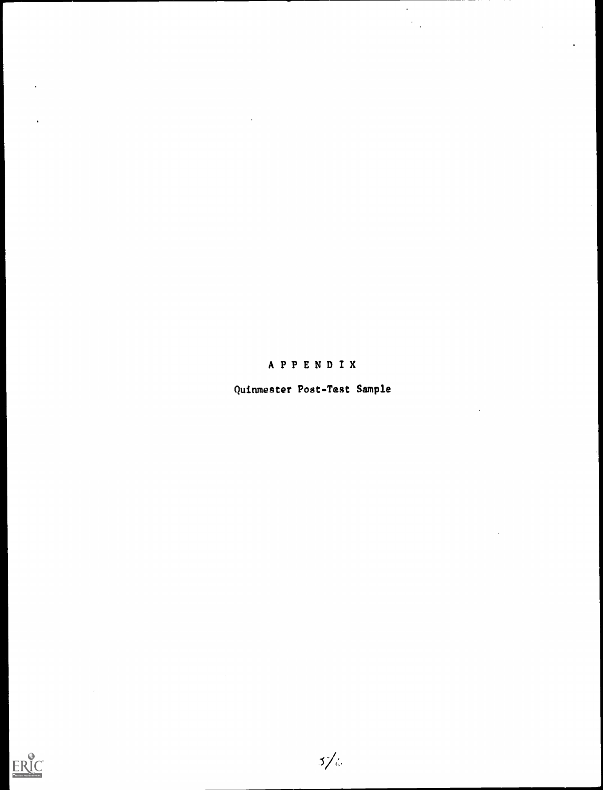# APPENDIX

 $\hat{\mathcal{A}}$ 

Quinmester Post-Test Sample



 $\ddot{\phantom{a}}$ 

 $\ddot{\phantom{a}}$ 

 $5/6$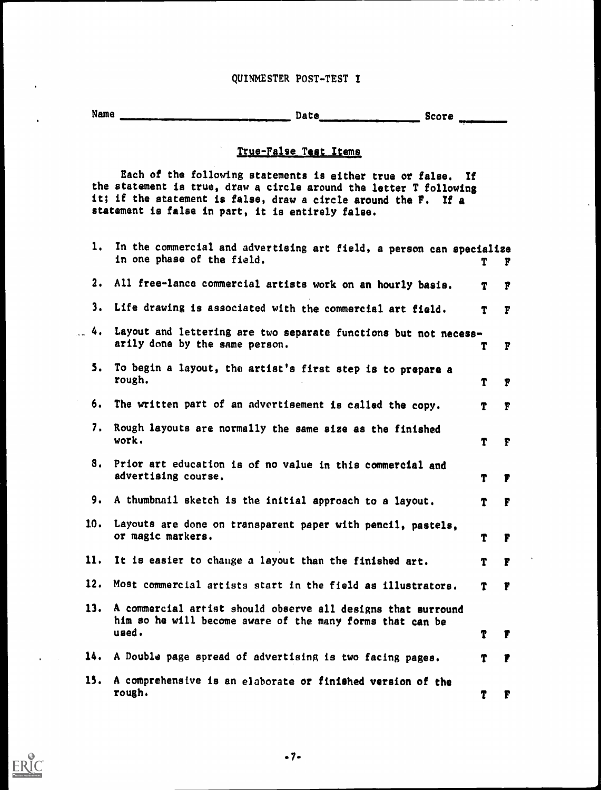## QUINMESTER POST-TEST I

Name Date Score Score

 $\ddot{\phantom{0}}$ 

**ERIC** 

# True-False Test Items

Each of the following statements is either true or false. If the statement is true, draw a circle around the letter T following it; if the statement is false, draw a circle around the F. If a statement is false in part, it is entirely false.

 $\ddot{\phantom{a}}$ 

| ı.            | In the commercial and advertising art field, a person can specialize<br>in one phase of the field.                        | Т | F            |
|---------------|---------------------------------------------------------------------------------------------------------------------------|---|--------------|
| $\mathbf 2$ . | All free-lance commercial artists work on an hourly basis.                                                                | T | F            |
| 3.            | Life drawing is associated with the commercial art field.                                                                 | T | $\mathbf{r}$ |
| .4.           | Layout and lettering are two separate functions but not necess-<br>arily done by the same person.                         | T | F            |
| 5.            | To begin a layout, the artist's first step is to prepare a<br>rough.                                                      | T | F            |
| 6.            | The written part of an advertisement is called the copy.                                                                  | T | $\mathbf{F}$ |
| 7.            | Rough layouts are normally the same size as the finished<br>work.                                                         | T | $\mathbf{F}$ |
|               | 8. Prior art education is of no value in this commercial and<br>advertising course.                                       | T | F            |
| 9.            | A thumbnail sketch is the initial approach to a layout.                                                                   | T | F            |
| 10.           | Layouts are done on transparent paper with pencil, pastels,<br>or magic markers.                                          | T | F            |
| 11.           | It is easier to change a layout than the finished art.                                                                    | T | $\mathbf{F}$ |
| 12.           | Most commercial artists start in the field as illustrators.                                                               | T | F            |
| 13.           | A commercial arrist should observe all designs that surround<br>him so he will become aware of the many forms that can be |   |              |
|               | used.                                                                                                                     |   |              |
| 14.           | A Double page spread of advertising is two facing pages.                                                                  | Т | F            |
| 15.           | A comprehensive is an elaborate or finished version of the<br>rough.                                                      | Т | F            |

.7.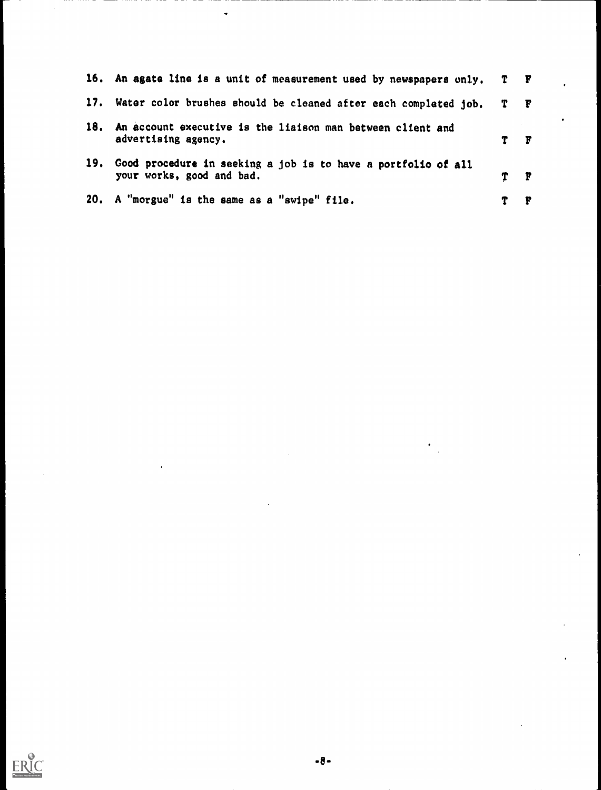|     | 16. An agate line is a unit of measurement used by newspapers only. T F                    |   |          |  |
|-----|--------------------------------------------------------------------------------------------|---|----------|--|
|     | 17. Water color brushes should be cleaned after each completed job. T F                    |   |          |  |
| 18. | An account executive is the liaison man between client and<br>advertising agency.          |   | F        |  |
| 19. | Good procedure in seeking a job is to have a portfolio of all<br>your works, good and bad. | Т | <b>P</b> |  |
|     | 20. A "morgue" is the same as a "swipe" file.                                              |   | F        |  |

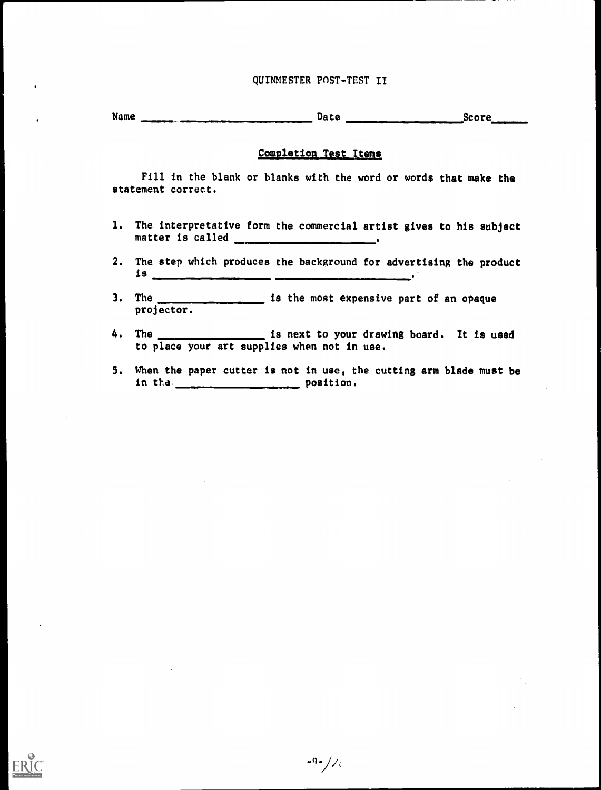## QUINMESTER POST-TEST II

Name successive continuous continuous continuous continuous continuous services of the Score

#### Completion Test Items

Fill in the blank or blanks with the word or words that make the statement correct.

- 1. The interpretative form the commercial artist gives to his subject matter is called \_\_\_\_\_\_\_\_\_\_\_\_\_\_\_\_\_\_\_\_\_.
- 2. The step which produces the background for advertising the product is
- 3. The **is the most expensive part of an opaque** projector.
- 4. The <u>increase is next</u> to your drawing board. It is used to place your art supplies when not in use.
- 5. When the paper cutter is not in use, the cutting arm blade must be in the <u>examed and position</u>.

 $-9$  -  $//$